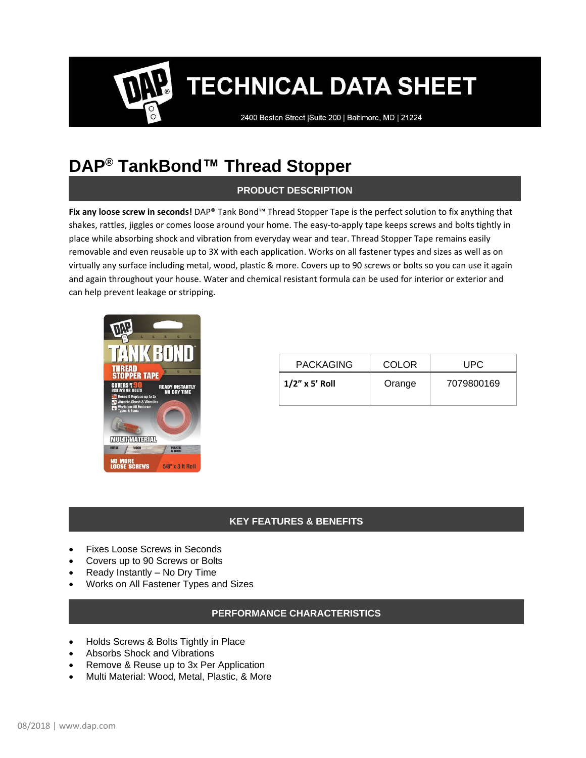2400 Boston Street | Suite 200 | Baltimore, MD | 21224

### **DAP® TankBond™ Thread Stopper**

#### **PRODUCT DESCRIPTION**

**Fix any loose screw in seconds!** DAP® Tank Bond™ Thread Stopper Tape is the perfect solution to fix anything that shakes, rattles, jiggles or comes loose around your home. The easy-to-apply tape keeps screws and bolts tightly in place while absorbing shock and vibration from everyday wear and tear. Thread Stopper Tape remains easily removable and even reusable up to 3X with each application. Works on all fastener types and sizes as well as on virtually any surface including metal, wood, plastic & more. Covers up to 90 screws or bolts so you can use it again and again throughout your house. Water and chemical resistant formula can be used for interior or exterior and can help prevent leakage or stripping.



| <b>PACKAGING</b>  | COLOR  | UPC        |
|-------------------|--------|------------|
| $1/2$ " x 5' Roll | Orange | 7079800169 |
|                   |        |            |

#### **KEY FEATURES & BENEFITS**

- Fixes Loose Screws in Seconds
- Covers up to 90 Screws or Bolts
- Ready Instantly No Dry Time
- Works on All Fastener Types and Sizes

#### **PERFORMANCE CHARACTERISTICS**

- Holds Screws & Bolts Tightly in Place
- Absorbs Shock and Vibrations
- Remove & Reuse up to 3x Per Application
- Multi Material: Wood, Metal, Plastic, & More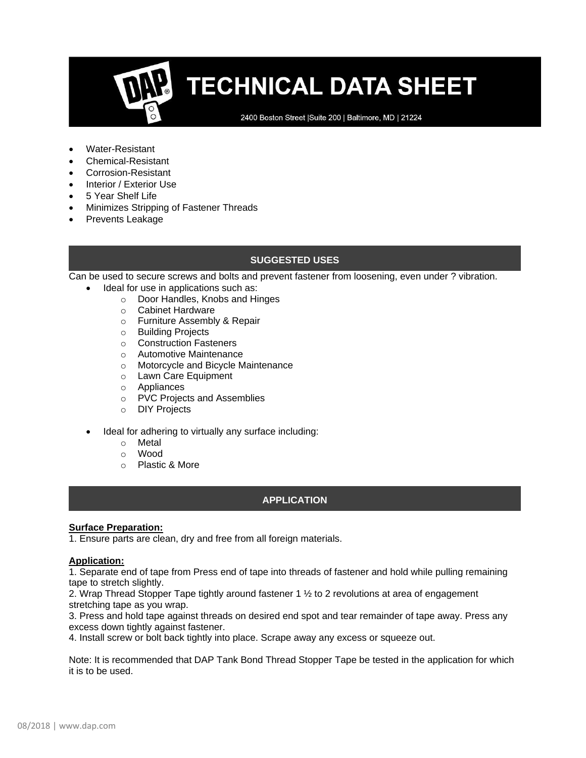2400 Boston Street | Suite 200 | Baltimore, MD | 21224

- Water-Resistant
- Chemical-Resistant
- Corrosion-Resistant
- Interior / Exterior Use
- 5 Year Shelf Life
- Minimizes Stripping of Fastener Threads
- Prevents Leakage

#### **SUGGESTED USES**

Can be used to secure screws and bolts and prevent fastener from loosening, even under ? vibration.

- Ideal for use in applications such as:
	- o Door Handles, Knobs and Hinges
	- o Cabinet Hardware
	- o Furniture Assembly & Repair
	- o Building Projects
	- o Construction Fasteners
	- o Automotive Maintenance
	- o Motorcycle and Bicycle Maintenance
	- o Lawn Care Equipment
	- o Appliances
	- o PVC Projects and Assemblies
	- o DIY Projects
- Ideal for adhering to virtually any surface including:
	- o Metal
	- o Wood
	- o Plastic & More

#### **APPLICATION**

#### **Surface Preparation:**

1. Ensure parts are clean, dry and free from all foreign materials.

#### **Application:**

1. Separate end of tape from Press end of tape into threads of fastener and hold while pulling remaining tape to stretch slightly.

2. Wrap Thread Stopper Tape tightly around fastener 1 ½ to 2 revolutions at area of engagement stretching tape as you wrap.

3. Press and hold tape against threads on desired end spot and tear remainder of tape away. Press any excess down tightly against fastener.

4. Install screw or bolt back tightly into place. Scrape away any excess or squeeze out.

Note: It is recommended that DAP Tank Bond Thread Stopper Tape be tested in the application for which it is to be used.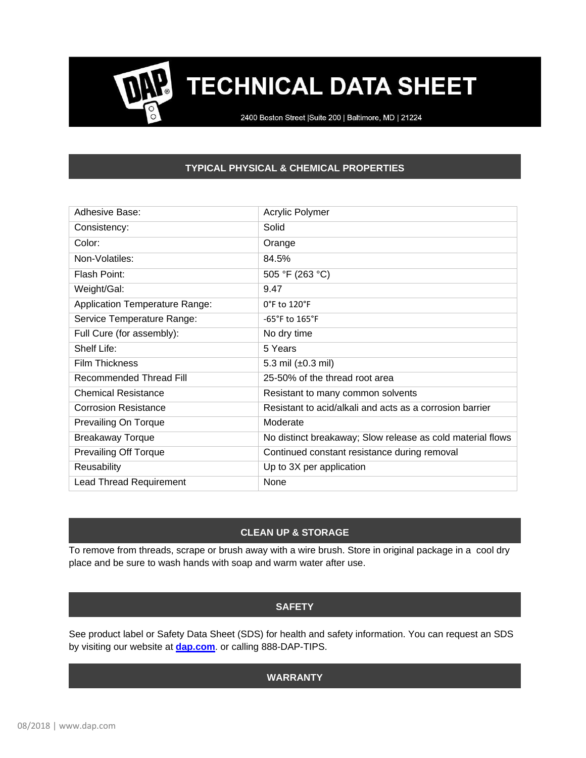2400 Boston Street | Suite 200 | Baltimore, MD | 21224

#### **TYPICAL PHYSICAL & CHEMICAL PROPERTIES**

| Adhesive Base:                        | Acrylic Polymer                                            |
|---------------------------------------|------------------------------------------------------------|
| Consistency:                          | Solid                                                      |
| Color:                                | Orange                                                     |
| Non-Volatiles:                        | 84.5%                                                      |
| Flash Point:                          | 505 °F (263 °C)                                            |
| Weight/Gal:                           | 9.47                                                       |
| <b>Application Temperature Range:</b> | $0^\circ$ F to 120 $^\circ$ F                              |
| Service Temperature Range:            | $-65^{\circ}$ F to $165^{\circ}$ F                         |
| Full Cure (for assembly):             | No dry time                                                |
| Shelf Life:                           | 5 Years                                                    |
| <b>Film Thickness</b>                 | 5.3 mil $(\pm 0.3$ mil)                                    |
| Recommended Thread Fill               | 25-50% of the thread root area                             |
| <b>Chemical Resistance</b>            | Resistant to many common solvents                          |
| <b>Corrosion Resistance</b>           | Resistant to acid/alkali and acts as a corrosion barrier   |
| Prevailing On Torque                  | Moderate                                                   |
| <b>Breakaway Torque</b>               | No distinct breakaway; Slow release as cold material flows |
| <b>Prevailing Off Torque</b>          | Continued constant resistance during removal               |
| Reusability                           | Up to 3X per application                                   |
| <b>Lead Thread Requirement</b>        | None                                                       |

#### **CLEAN UP & STORAGE**

To remove from threads, scrape or brush away with a wire brush. Store in original package in a cool dry place and be sure to wash hands with soap and warm water after use.

#### **SAFETY**

See product label or Safety Data Sheet (SDS) for health and safety information. You can request an SDS by visiting our website at **[dap.com](http://dap.com/)**. or calling 888-DAP-TIPS.

#### **WARRANTY**